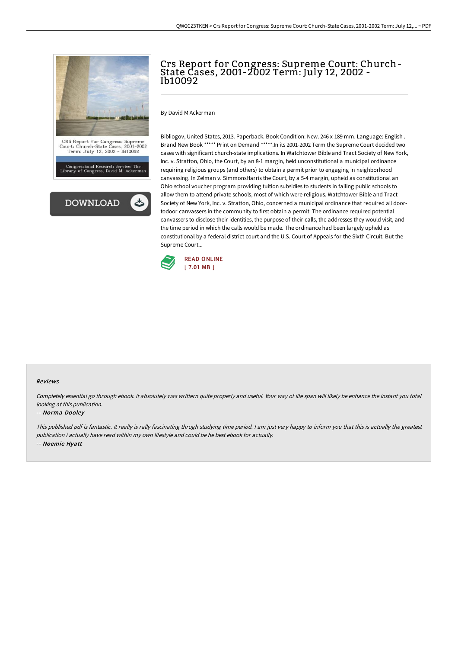

# Crs Report for Congress: Supreme Court: Church-State Cases, 2001-2002 Term: July 12, 2002 - Ib10092

By David M Ackerman

Bibliogov, United States, 2013. Paperback. Book Condition: New. 246 x 189 mm. Language: English . Brand New Book \*\*\*\*\* Print on Demand \*\*\*\*\*.In its 2001-2002 Term the Supreme Court decided two cases with significant church-state implications. In Watchtower Bible and Tract Society of New York, Inc. v. Stratton, Ohio, the Court, by an 8-1 margin, held unconstitutional a municipal ordinance requiring religious groups (and others) to obtain a permit prior to engaging in neighborhood canvassing. In Zelman v. SimmonsHarris the Court, by a 5-4 margin, upheld as constitutional an Ohio school voucher program providing tuition subsidies to students in failing public schools to allow them to attend private schools, most of which were religious. Watchtower Bible and Tract Society of New York, Inc. v. Stratton, Ohio, concerned a municipal ordinance that required all doortodoor canvassers in the community to first obtain a permit. The ordinance required potential canvassers to disclose their identities, the purpose of their calls, the addresses they would visit, and the time period in which the calls would be made. The ordinance had been largely upheld as constitutional by a federal district court and the U.S. Court of Appeals for the Sixth Circuit. But the Supreme Court...



#### Reviews

Completely essential go through ebook, it absolutely was writtern quite properly and useful. Your way of life span will likely be enhance the instant you total looking at this publication.

#### -- Norma Dooley

This published pdf is fantastic. It really is rally fascinating throgh studying time period. <sup>I</sup> am just very happy to inform you that this is actually the greatest publication i actually have read within my own lifestyle and could be he best ebook for actually. -- Noemie Hyatt